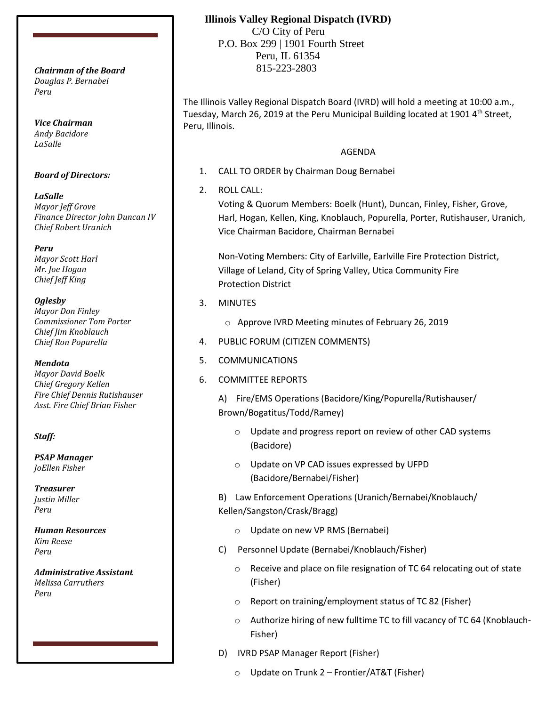*Douglas P. Bernabei Peru*

*Vice Chairman Andy Bacidore LaSalle*

### *Board of Directors:*

*LaSalle Mayor Jeff Grove Finance Director John Duncan IV Chief Robert Uranich*

*Peru Mayor Scott Harl Mr. Joe Hogan Chief Jeff King*

#### *Oglesby*

*Mayor Don Finley Commissioner Tom Porter Chief Jim Knoblauch Chief Ron Popurella*

#### *Mendota*

*Mayor David Boelk Chief Gregory Kellen Fire Chief Dennis Rutishauser Asst. Fire Chief Brian Fisher*

## *Staff:*

*PSAP Manager JoEllen Fisher*

*Treasurer Justin Miller Peru*

*Human Resources Kim Reese Peru*

*Administrative Assistant Melissa Carruthers Peru*

## **Illinois Valley Regional Dispatch (IVRD)**

 C/O City of Peru P.O. Box 299 | 1901 Fourth Street Peru, IL 61354 815-223-2803 *Chairman of the Board*

> The Illinois Valley Regional Dispatch Board (IVRD) will hold a meeting at 10:00 a.m., Tuesday, March 26, 2019 at the Peru Municipal Building located at 1901 4<sup>th</sup> Street, Peru, Illinois.

### AGENDA

- 1. CALL TO ORDER by Chairman Doug Bernabei
- 2. ROLL CALL:

Voting & Quorum Members: Boelk (Hunt), Duncan, Finley, Fisher, Grove, Harl, Hogan, Kellen, King, Knoblauch, Popurella, Porter, Rutishauser, Uranich, Vice Chairman Bacidore, Chairman Bernabei

Non-Voting Members: City of Earlville, Earlville Fire Protection District, Village of Leland, City of Spring Valley, Utica Community Fire Protection District

- 3. MINUTES
	- o Approve IVRD Meeting minutes of February 26, 2019
- 4. PUBLIC FORUM (CITIZEN COMMENTS)
- 5. COMMUNICATIONS
- 6. COMMITTEE REPORTS

A) Fire/EMS Operations (Bacidore/King/Popurella/Rutishauser/ Brown/Bogatitus/Todd/Ramey)

- o Update and progress report on review of other CAD systems (Bacidore)
- o Update on VP CAD issues expressed by UFPD (Bacidore/Bernabei/Fisher)

B) Law Enforcement Operations (Uranich/Bernabei/Knoblauch/ Kellen/Sangston/Crask/Bragg)

- o Update on new VP RMS (Bernabei)
- C) Personnel Update (Bernabei/Knoblauch/Fisher)
	- o Receive and place on file resignation of TC 64 relocating out of state (Fisher)
	- o Report on training/employment status of TC 82 (Fisher)
	- o Authorize hiring of new fulltime TC to fill vacancy of TC 64 (Knoblauch-Fisher)
- D) IVRD PSAP Manager Report (Fisher)
	- o Update on Trunk 2 Frontier/AT&T (Fisher)